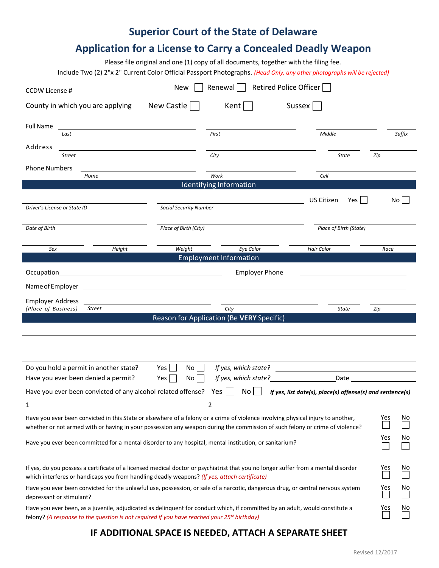# **Superior Court of the State of Delaware**

## **Application for a License to Carry a Concealed Deadly Weapon**

Please file original and one (1) copy of all documents, together with the filing fee.

Include Two (2) 2"x 2" Current Color Official Passport Photographs. *(Head Only, any other photographs will be rejected)*

| CCDW License #                                                                                                                                                                                                                                                                |               | <b>New</b>                    | Renewal   Retired Police Officer                  |                                                           |      |           |
|-------------------------------------------------------------------------------------------------------------------------------------------------------------------------------------------------------------------------------------------------------------------------------|---------------|-------------------------------|---------------------------------------------------|-----------------------------------------------------------|------|-----------|
| County in which you are applying                                                                                                                                                                                                                                              |               | New Castle                    | Kent                                              | Sussex                                                    |      |           |
| Full Name<br>Last                                                                                                                                                                                                                                                             |               |                               | First                                             | Middle                                                    |      | Suffix    |
| Address<br>Street                                                                                                                                                                                                                                                             |               |                               | City                                              | <b>State</b>                                              | Zip  |           |
| <b>Phone Numbers</b>                                                                                                                                                                                                                                                          |               |                               |                                                   |                                                           |      |           |
| Home                                                                                                                                                                                                                                                                          |               |                               | Work                                              | Cell                                                      |      |           |
|                                                                                                                                                                                                                                                                               |               |                               | Identifying Information                           |                                                           |      |           |
| Driver's License or State ID                                                                                                                                                                                                                                                  |               | <b>Social Security Number</b> |                                                   | US Citizen<br>$Yes$                                       |      | No        |
| Date of Birth                                                                                                                                                                                                                                                                 |               | Place of Birth (City)         |                                                   | Place of Birth (State)                                    |      |           |
| Sex                                                                                                                                                                                                                                                                           | Height        | Weight                        | <b>Eye Color</b>                                  | <b>Hair Color</b>                                         | Race |           |
|                                                                                                                                                                                                                                                                               |               |                               | <b>Employment Information</b>                     |                                                           |      |           |
| Occupation                                                                                                                                                                                                                                                                    |               |                               | <b>Employer Phone</b>                             |                                                           |      |           |
| Name of Employer                                                                                                                                                                                                                                                              |               |                               |                                                   |                                                           |      |           |
| <b>Employer Address</b>                                                                                                                                                                                                                                                       |               |                               |                                                   |                                                           |      |           |
| (Place of Business)                                                                                                                                                                                                                                                           | <b>Street</b> |                               | City<br>Reason for Application (Be VERY Specific) | State                                                     | Zip  |           |
|                                                                                                                                                                                                                                                                               |               |                               |                                                   |                                                           |      |           |
|                                                                                                                                                                                                                                                                               |               |                               |                                                   |                                                           |      |           |
|                                                                                                                                                                                                                                                                               |               |                               |                                                   |                                                           |      |           |
| Do you hold a permit in another state?                                                                                                                                                                                                                                        |               | Yes I<br>Noll                 |                                                   |                                                           |      |           |
| Have you ever been denied a permit?                                                                                                                                                                                                                                           |               | Yes  <br>No                   |                                                   |                                                           |      |           |
| Have you ever been convicted of any alcohol related offense? Yes                                                                                                                                                                                                              |               |                               | No                                                | If yes, list date(s), place(s) offense(s) and sentence(s) |      |           |
|                                                                                                                                                                                                                                                                               |               |                               | 2                                                 |                                                           |      |           |
| Have you ever been convicted in this State or elsewhere of a felony or a crime of violence involving physical injury to another,<br>Yes<br>No<br>whether or not armed with or having in your possession any weapon during the commission of such felony or crime of violence? |               |                               |                                                   |                                                           |      |           |
| Have you ever been committed for a mental disorder to any hospital, mental institution, or sanitarium?                                                                                                                                                                        |               |                               |                                                   |                                                           |      | No        |
| If yes, do you possess a certificate of a licensed medical doctor or psychiatrist that you no longer suffer from a mental disorder<br>which interferes or handicaps you from handling deadly weapons? (If yes, attach certificate)                                            |               |                               |                                                   |                                                           |      | <b>NO</b> |
| Have you ever been convicted for the unlawful use, possession, or sale of a narcotic, dangerous drug, or central nervous system<br>depressant or stimulant?                                                                                                                   |               |                               |                                                   |                                                           |      | <u>No</u> |
| Have you ever been, as a juvenile, adjudicated as delinquent for conduct which, if committed by an adult, would constitute a<br>felony? (A response to the question is not required if you have reached your 25 <sup>th</sup> birthday)                                       |               |                               |                                                   |                                                           |      |           |

### **IF ADDITIONAL SPACE IS NEEDED, ATTACH A SEPARATE SHEET**